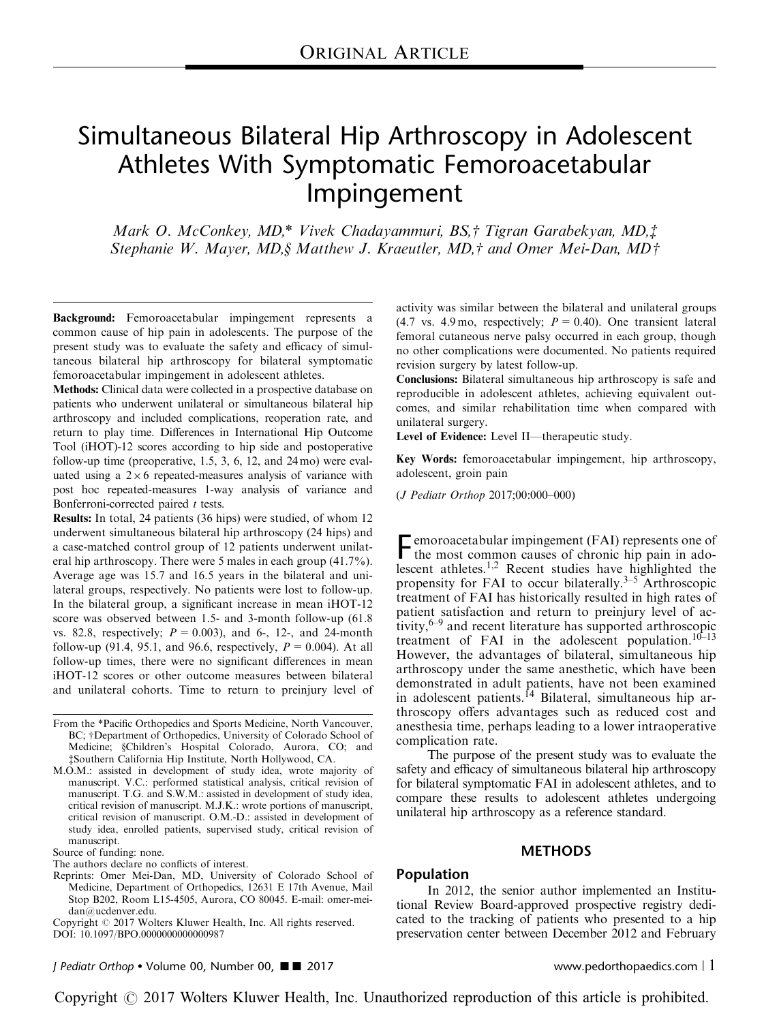# Simultaneous Bilateral Hip Arthroscopy in Adolescent Athletes With Symptomatic Femoroacetabular Impingement

Mark O. McConkey, MD,\* Vivek Chadayammuri, BS,† Tigran Garabekyan, MD, $\ddagger$ Stephanie W. Mayer, MD, § Matthew J. Kraeutler, MD, $\dagger$  and Omer Mei-Dan, MD $\dagger$ 

Background: Femoroacetabular impingement represents a common cause of hip pain in adolescents. The purpose of the present study was to evaluate the safety and efficacy of simultaneous bilateral hip arthroscopy for bilateral symptomatic femoroacetabular impingement in adolescent athletes.

Methods: Clinical data were collected in a prospective database on patients who underwent unilateral or simultaneous bilateral hip arthroscopy and included complications, reoperation rate, and return to play time. Differences in International Hip Outcome Tool (iHOT)-12 scores according to hip side and postoperative follow-up time (preoperative, 1.5, 3, 6, 12, and 24 mo) were evaluated using a  $2 \times 6$  repeated-measures analysis of variance with post hoc repeated-measures 1-way analysis of variance and Bonferroni-corrected paired  $t$  tests.

Results: In total, 24 patients (36 hips) were studied, of whom 12 underwent simultaneous bilateral hip arthroscopy (24 hips) and a case-matched control group of 12 patients underwent unilateral hip arthroscopy. There were 5 males in each group (41.7%). Average age was 15.7 and 16.5 years in the bilateral and unilateral groups, respectively. No patients were lost to follow-up. In the bilateral group, a significant increase in mean iHOT-12 score was observed between 1.5- and 3-month follow-up (61.8 vs. 82.8, respectively;  $P = 0.003$ ), and 6-, 12-, and 24-month follow-up (91.4, 95.1, and 96.6, respectively,  $P = 0.004$ ). At all follow-up times, there were no significant differences in mean iHOT-12 scores or other outcome measures between bilateral and unilateral cohorts. Time to return to preinjury level of

Source of funding: none.

The authors declare no conflicts of interest.

Reprints: Omer Mei-Dan, MD, University of Colorado School of Medicine, Department of Orthopedics, 12631 E 17th Avenue, Mail Stop B202, Room L15-4505, Aurora, CO 80045. E-mail: [omer-mei](mailto:omer-meidan@ucdenver.edu)[dan@ucdenver.edu](mailto:omer-meidan@ucdenver.edu).

Copyright © 2017 Wolters Kluwer Health, Inc. All rights reserved. DOI: 10.1097/BPO.0000000000000987

activity was similar between the bilateral and unilateral groups (4.7 vs. 4.9 mo, respectively;  $P = 0.40$ ). One transient lateral femoral cutaneous nerve palsy occurred in each group, though no other complications were documented. No patients required revision surgery by latest follow-up.

Conclusions: Bilateral simultaneous hip arthroscopy is safe and reproducible in adolescent athletes, achieving equivalent outcomes, and similar rehabilitation time when compared with unilateral surgery.

Level of Evidence: Level II—therapeutic study.

Key Words: femoroacetabular impingement, hip arthroscopy, adolescent, groin pain

(J Pediatr Orthop 2017;00:000–000)

Femoroacetabular impingement (FAI) represents one of<br>the most common covers the most common causes of chronic hip pain in ado-lescent athletes.<sup>[1,2](#page-4-0)</sup> Recent studies have highlighted the propensity for FAI to occur bilaterally. $3-5$  Arthroscopic treatment of FAI has historically resulted in high rates of patient satisfaction and return to preinjury level of activity,  $6-9$  and recent literature has supported arthroscopic treatment of FAI in the adolescent population. $10<sup>–13</sup>$ However, the advantages of bilateral, simultaneous hip arthroscopy under the same anesthetic, which have been demonstrated in adult patients, have not been examined in adolescent patients.<sup>[14](#page-4-0)</sup> Bilateral, simultaneous hip arthroscopy offers advantages such as reduced cost and anesthesia time, perhaps leading to a lower intraoperative complication rate.

The purpose of the present study was to evaluate the safety and efficacy of simultaneous bilateral hip arthroscopy for bilateral symptomatic FAI in adolescent athletes, and to compare these results to adolescent athletes undergoing unilateral hip arthroscopy as a reference standard.

### **METHODS**

#### Population

In 2012, the senior author implemented an Institutional Review Board-approved prospective registry dedicated to the tracking of patients who presented to a hip preservation center between December 2012 and February

J Pediatr Orthop Volume 00, Number 00, '' 2017 www.pedorthopaedics.com <sup>|</sup> 1

From the \*Pacific Orthopedics and Sports Medicine, North Vancouver, BC; †Department of Orthopedics, University of Colorado School of BC; †Department of Orthopedics, University of Colorado School of Medicine: SChildren's Hospital Colorado Aurora CO; and Medicine; §Children's Hospital Colorado, Aurora, CO; and<br>†Southern California Hin-Institute North-Hollywood CA zSouthern California Hip Institute, North Hollywood, CA.

M.O.M.: assisted in development of study idea, wrote majority of manuscript. V.C.: performed statistical analysis, critical revision of manuscript. T.G. and S.W.M.: assisted in development of study idea, critical revision of manuscript. M.J.K.: wrote portions of manuscript, critical revision of manuscript. O.M.-D.: assisted in development of study idea, enrolled patients, supervised study, critical revision of manuscript.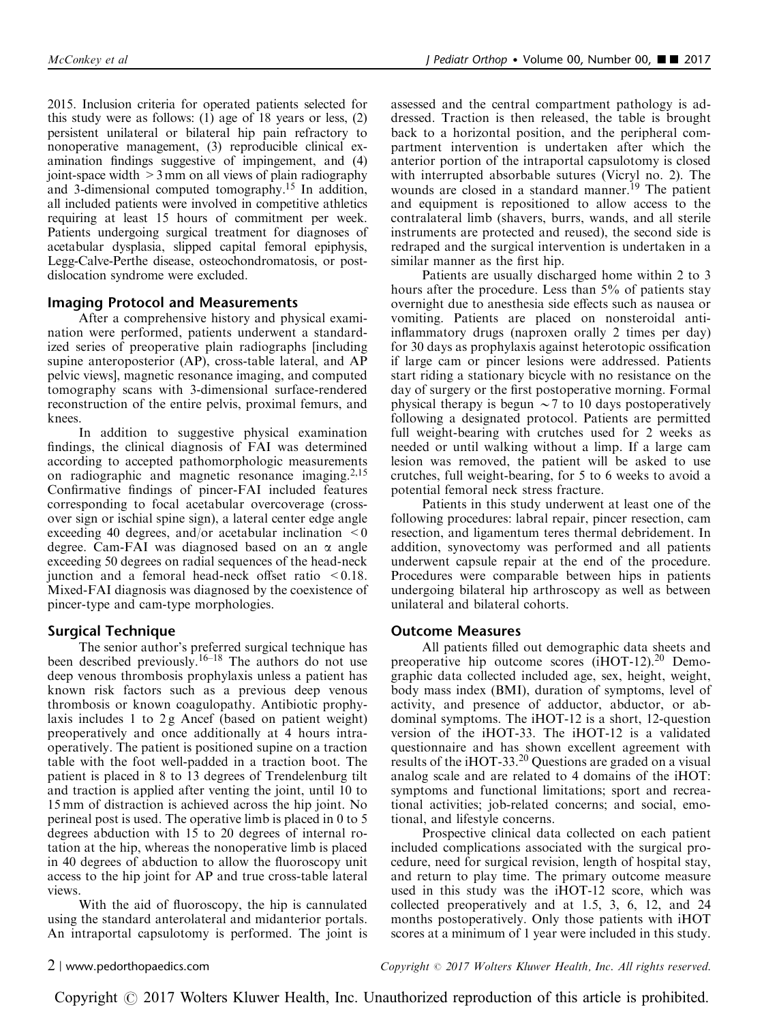2015. Inclusion criteria for operated patients selected for this study were as follows: (1) age of 18 years or less, (2) persistent unilateral or bilateral hip pain refractory to nonoperative management, (3) reproducible clinical examination findings suggestive of impingement, and (4) joint-space width >3 mm on all views of plain radiography and 3-dimensional computed tomography.[15](#page-4-0) In addition, all included patients were involved in competitive athletics requiring at least 15 hours of commitment per week. Patients undergoing surgical treatment for diagnoses of acetabular dysplasia, slipped capital femoral epiphysis, Legg-Calve-Perthe disease, osteochondromatosis, or postdislocation syndrome were excluded.

# Imaging Protocol and Measurements

After a comprehensive history and physical examination were performed, patients underwent a standardized series of preoperative plain radiographs [including supine anteroposterior (AP), cross-table lateral, and AP pelvic views], magnetic resonance imaging, and computed tomography scans with 3-dimensional surface-rendered reconstruction of the entire pelvis, proximal femurs, and knees.

In addition to suggestive physical examination findings, the clinical diagnosis of FAI was determined according to accepted pathomorphologic measurements on radiographic and magnetic resonance imaging. $2,15$ Confirmative findings of pincer-FAI included features corresponding to focal acetabular overcoverage (crossover sign or ischial spine sign), a lateral center edge angle exceeding 40 degrees, and/or acetabular inclination  $\leq 0$ degree. Cam-FAI was diagnosed based on an  $\alpha$  angle exceeding 50 degrees on radial sequences of the head-neck junction and a femoral head-neck offset ratio  $\leq 0.18$ . Mixed-FAI diagnosis was diagnosed by the coexistence of pincer-type and cam-type morphologies.

# Surgical Technique

The senior author's preferred surgical technique has been described previously.<sup>[16–18](#page-4-0)</sup> The authors do not use deep venous thrombosis prophylaxis unless a patient has known risk factors such as a previous deep venous thrombosis or known coagulopathy. Antibiotic prophylaxis includes 1 to  $2g$  Ancef (based on patient weight) preoperatively and once additionally at 4 hours intraoperatively. The patient is positioned supine on a traction table with the foot well-padded in a traction boot. The patient is placed in 8 to 13 degrees of Trendelenburg tilt and traction is applied after venting the joint, until 10 to 15 mm of distraction is achieved across the hip joint. No perineal post is used. The operative limb is placed in 0 to 5 degrees abduction with 15 to 20 degrees of internal rotation at the hip, whereas the nonoperative limb is placed in 40 degrees of abduction to allow the fluoroscopy unit access to the hip joint for AP and true cross-table lateral views.

With the aid of fluoroscopy, the hip is cannulated using the standard anterolateral and midanterior portals. An intraportal capsulotomy is performed. The joint is assessed and the central compartment pathology is addressed. Traction is then released, the table is brought back to a horizontal position, and the peripheral compartment intervention is undertaken after which the anterior portion of the intraportal capsulotomy is closed with interrupted absorbable sutures (Vicryl no. 2). The wounds are closed in a standard manner.<sup>[19](#page-4-0)</sup> The patient and equipment is repositioned to allow access to the contralateral limb (shavers, burrs, wands, and all sterile instruments are protected and reused), the second side is redraped and the surgical intervention is undertaken in a similar manner as the first hip.

Patients are usually discharged home within 2 to 3 hours after the procedure. Less than 5% of patients stay overnight due to anesthesia side effects such as nausea or vomiting. Patients are placed on nonsteroidal antiinflammatory drugs (naproxen orally 2 times per day) for 30 days as prophylaxis against heterotopic ossification if large cam or pincer lesions were addressed. Patients start riding a stationary bicycle with no resistance on the day of surgery or the first postoperative morning. Formal physical therapy is begun  $\sim$  7 to 10 days postoperatively following a designated protocol. Patients are permitted full weight-bearing with crutches used for 2 weeks as needed or until walking without a limp. If a large cam lesion was removed, the patient will be asked to use crutches, full weight-bearing, for 5 to 6 weeks to avoid a potential femoral neck stress fracture.

Patients in this study underwent at least one of the following procedures: labral repair, pincer resection, cam resection, and ligamentum teres thermal debridement. In addition, synovectomy was performed and all patients underwent capsule repair at the end of the procedure. Procedures were comparable between hips in patients undergoing bilateral hip arthroscopy as well as between unilateral and bilateral cohorts.

# Outcome Measures

All patients filled out demographic data sheets and preoperative hip outcome scores (iHOT-12).<sup>[20](#page-4-0)</sup> Demographic data collected included age, sex, height, weight, body mass index (BMI), duration of symptoms, level of activity, and presence of adductor, abductor, or abdominal symptoms. The iHOT-12 is a short, 12-question version of the iHOT-33. The iHOT-12 is a validated questionnaire and has shown excellent agreement with results of the iHOT-33.[20](#page-4-0) Questions are graded on a visual analog scale and are related to 4 domains of the iHOT: symptoms and functional limitations; sport and recreational activities; job-related concerns; and social, emotional, and lifestyle concerns.

Prospective clinical data collected on each patient included complications associated with the surgical procedure, need for surgical revision, length of hospital stay, and return to play time. The primary outcome measure used in this study was the iHOT-12 score, which was collected preoperatively and at 1.5, 3, 6, 12, and 24 months postoperatively. Only those patients with iHOT scores at a minimum of 1 year were included in this study.

2 <sup>|</sup> www.pedorthopaedics.com Copyright <sup>r</sup> 2017 Wolters Kluwer Health, Inc. All rights reserved.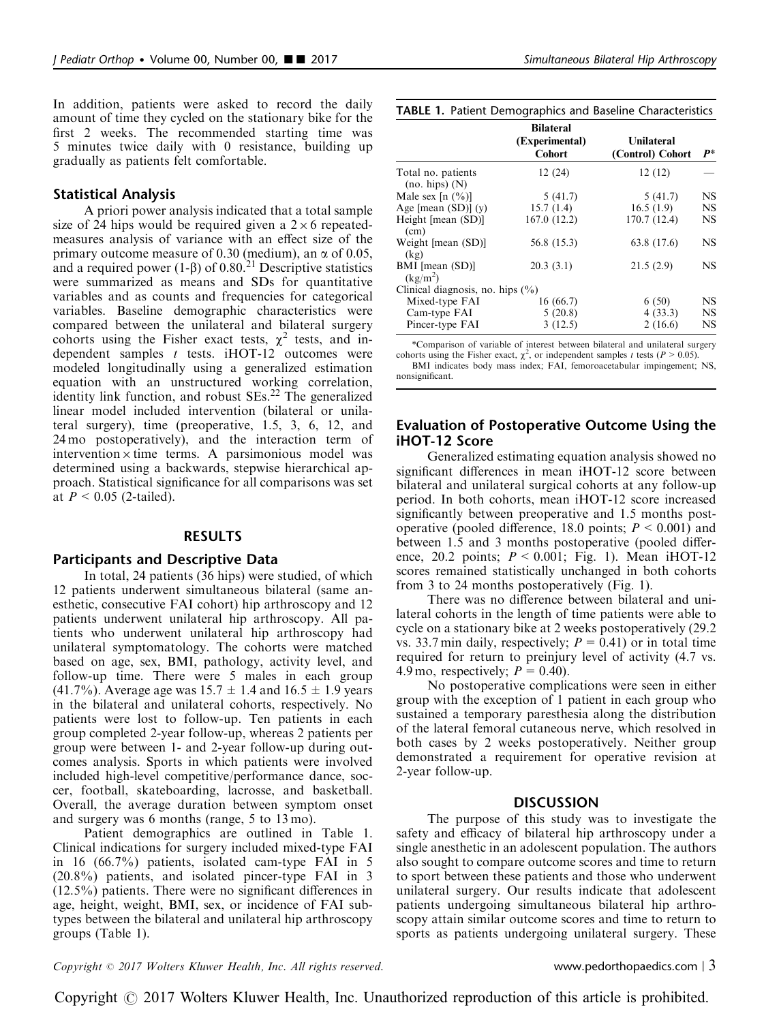In addition, patients were asked to record the daily amount of time they cycled on the stationary bike for the first 2 weeks. The recommended starting time was 5 minutes twice daily with 0 resistance, building up gradually as patients felt comfortable.

#### Statistical Analysis

A priori power analysis indicated that a total sample size of 24 hips would be required given a  $2 \times 6$  repeatedmeasures analysis of variance with an effect size of the primary outcome measure of 0.30 (medium), an  $\alpha$  of 0.05, and a required power (1- $\beta$ ) of 0.80.<sup>[21](#page-4-0)</sup> Descriptive statistics were summarized as means and SDs for quantitative variables and as counts and frequencies for categorical variables. Baseline demographic characteristics were compared between the unilateral and bilateral surgery cohorts using the Fisher exact tests,  $\chi^2$  tests, and independent samples  $t$  tests. iHOT-12 outcomes were modeled longitudinally using a generalized estimation equation with an unstructured working correlation, identity link function, and robust  $SEs<sup>22</sup>$ . The generalized linear model included intervention (bilateral or unilateral surgery), time (preoperative, 1.5, 3, 6, 12, and 24 mo postoperatively), and the interaction term of intervention  $\times$  time terms. A parsimonious model was determined using a backwards, stepwise hierarchical approach. Statistical significance for all comparisons was set at  $P < 0.05$  (2-tailed).

# RESULTS

#### Participants and Descriptive Data

In total, 24 patients (36 hips) were studied, of which 12 patients underwent simultaneous bilateral (same anesthetic, consecutive FAI cohort) hip arthroscopy and 12 patients underwent unilateral hip arthroscopy. All patients who underwent unilateral hip arthroscopy had unilateral symptomatology. The cohorts were matched based on age, sex, BMI, pathology, activity level, and follow-up time. There were 5 males in each group (41.7%). Average age was  $15.7 \pm 1.4$  and  $16.5 \pm 1.9$  years in the bilateral and unilateral cohorts, respectively. No patients were lost to follow-up. Ten patients in each group completed 2-year follow-up, whereas 2 patients per group were between 1- and 2-year follow-up during outcomes analysis. Sports in which patients were involved included high-level competitive/performance dance, soccer, football, skateboarding, lacrosse, and basketball. Overall, the average duration between symptom onset and surgery was 6 months (range, 5 to 13 mo).

Patient demographics are outlined in Table 1. Clinical indications for surgery included mixed-type FAI in 16 (66.7%) patients, isolated cam-type FAI in 5 (20.8%) patients, and isolated pincer-type FAI in 3 (12.5%) patients. There were no significant differences in age, height, weight, BMI, sex, or incidence of FAI subtypes between the bilateral and unilateral hip arthroscopy groups (Table 1).

|  |  | TABLE 1. Patient Demographics and Baseline Characteristics |  |  |  |
|--|--|------------------------------------------------------------|--|--|--|
|--|--|------------------------------------------------------------|--|--|--|

|                                         | <b>Bilateral</b><br>(Experimental)<br><b>Cohort</b> | Unilateral<br>(Control) Cohort | $P^*$     |
|-----------------------------------------|-----------------------------------------------------|--------------------------------|-----------|
| Total no. patients<br>(no. hips) (N)    | 12(24)                                              | 12(12)                         |           |
| Male sex [n $(\%$ ]                     | 5(41.7)                                             | 5(41.7)                        | NS        |
| Age [mean $(SD)$ ] $(y)$                | 15.7(1.4)                                           | 16.5(1.9)                      | <b>NS</b> |
| Height [mean (SD)]<br>(cm)              | 167.0 (12.2)                                        | 170.7 (12.4)                   | <b>NS</b> |
| Weight [mean (SD)]<br>(kg)              | 56.8 (15.3)                                         | 63.8 (17.6)                    | NS.       |
| BMI [mean (SD)]<br>(kg/m <sup>2</sup> ) | 20.3(3.1)                                           | 21.5(2.9)                      | <b>NS</b> |
| Clinical diagnosis, no. hips $(\%)$     |                                                     |                                |           |
| Mixed-type FAI                          | 16(66.7)                                            | 6(50)                          | <b>NS</b> |
| Cam-type FAI                            | 5(20.8)                                             | 4(33.3)                        | <b>NS</b> |
| Pincer-type FAI                         | 3(12.5)                                             | 2(16.6)                        | <b>NS</b> |

\*Comparison of variable of interest between bilateral and unilateral surgery cohorts using the Fisher exact,  $\chi^2$ , or independent samples t tests (P > 0.05).

BMI indicates body mass index; FAI, femoroacetabular impingement; NS, nonsignificant.

### Evaluation of Postoperative Outcome Using the iHOT-12 Score

Generalized estimating equation analysis showed no significant differences in mean iHOT-12 score between bilateral and unilateral surgical cohorts at any follow-up period. In both cohorts, mean iHOT-12 score increased significantly between preoperative and 1.5 months postoperative (pooled difference, 18.0 points;  $P \le 0.001$ ) and between 1.5 and 3 months postoperative (pooled difference, 20.2 points;  $P \le 0.001$ ; [Fig. 1\)](#page-3-0). Mean iHOT-12 scores remained statistically unchanged in both cohorts from 3 to 24 months postoperatively ([Fig. 1](#page-3-0)).

There was no difference between bilateral and unilateral cohorts in the length of time patients were able to cycle on a stationary bike at 2 weeks postoperatively (29.2 vs. 33.7 min daily, respectively;  $P = 0.41$ ) or in total time required for return to preinjury level of activity (4.7 vs. 4.9 mo, respectively;  $P = 0.40$ ).

No postoperative complications were seen in either group with the exception of 1 patient in each group who sustained a temporary paresthesia along the distribution of the lateral femoral cutaneous nerve, which resolved in both cases by 2 weeks postoperatively. Neither group demonstrated a requirement for operative revision at 2-year follow-up.

#### **DISCUSSION**

The purpose of this study was to investigate the safety and efficacy of bilateral hip arthroscopy under a single anesthetic in an adolescent population. The authors also sought to compare outcome scores and time to return to sport between these patients and those who underwent unilateral surgery. Our results indicate that adolescent patients undergoing simultaneous bilateral hip arthroscopy attain similar outcome scores and time to return to sports as patients undergoing unilateral surgery. These

 $Copyright © 2017 Wolters Kluwer Health, Inc. All rights reserved.$  www.pedorthopaedics.com  $\mid$  3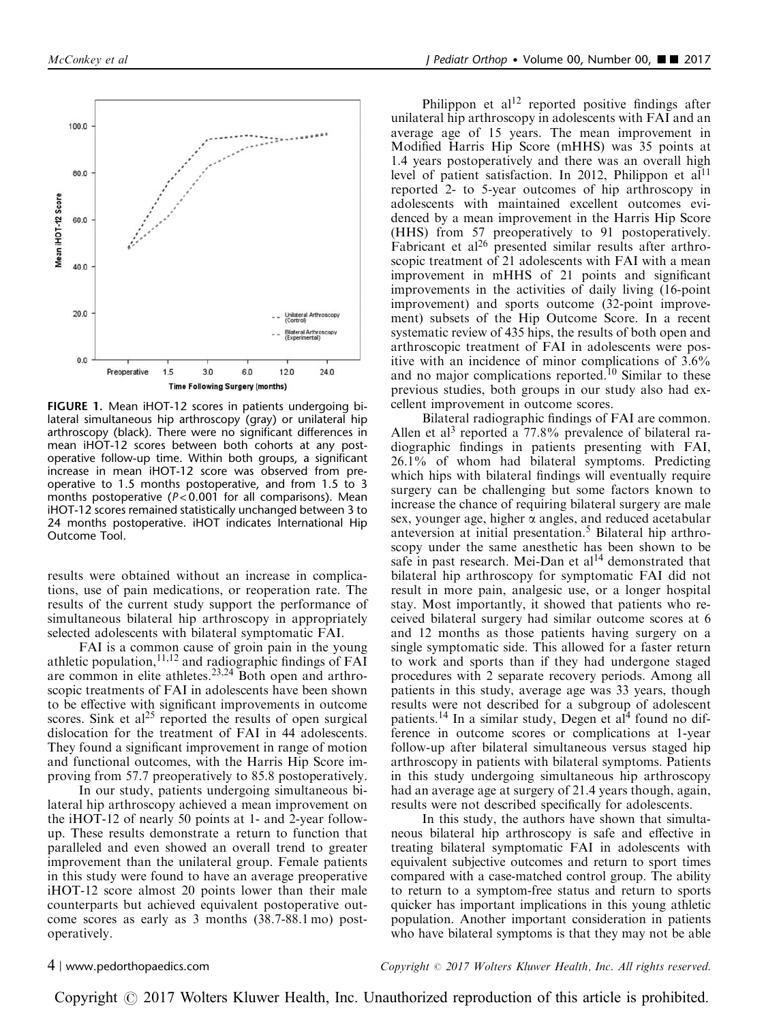<span id="page-3-0"></span>

FIGURE 1. Mean iHOT-12 scores in patients undergoing bilateral simultaneous hip arthroscopy (gray) or unilateral hip arthroscopy (black). There were no significant differences in mean iHOT-12 scores between both cohorts at any postoperative follow-up time. Within both groups, a significant increase in mean iHOT-12 score was observed from preoperative to 1.5 months postoperative, and from 1.5 to 3 months postoperative ( $P < 0.001$  for all comparisons). Mean iHOT-12 scores remained statistically unchanged between 3 to 24 months postoperative. iHOT indicates International Hip Outcome Tool.

results were obtained without an increase in complications, use of pain medications, or reoperation rate. The results of the current study support the performance of simultaneous bilateral hip arthroscopy in appropriately selected adolescents with bilateral symptomatic FAI.

FAI is a common cause of groin pain in the young athletic population,  $11,12$  and radiographic findings of FAI are common in elite athletes.<sup>[23,24](#page-4-0)</sup> Both open and arthroscopic treatments of FAI in adolescents have been shown to be effective with significant improvements in outcome scores. Sink et  $al^{25}$  reported the results of open surgical dislocation for the treatment of FAI in 44 adolescents. They found a significant improvement in range of motion and functional outcomes, with the Harris Hip Score improving from 57.7 preoperatively to 85.8 postoperatively.

In our study, patients undergoing simultaneous bilateral hip arthroscopy achieved a mean improvement on the iHOT-12 of nearly 50 points at 1- and 2-year followup. These results demonstrate a return to function that paralleled and even showed an overall trend to greater improvement than the unilateral group. Female patients in this study were found to have an average preoperative iHOT-12 score almost 20 points lower than their male counterparts but achieved equivalent postoperative outcome scores as early as 3 months (38.7-88.1 mo) postoperatively.

Philippon et  $al<sup>12</sup>$  $al<sup>12</sup>$  $al<sup>12</sup>$  reported positive findings after unilateral hip arthroscopy in adolescents with FAI and an average age of 15 years. The mean improvement in Modified Harris Hip Score (mHHS) was 35 points at 1.4 years postoperatively and there was an overall high level of patient satisfaction. In 2012, Philippon et al<sup>11</sup> reported 2- to 5-year outcomes of hip arthroscopy in adolescents with maintained excellent outcomes evidenced by a mean improvement in the Harris Hip Score (HHS) from 57 preoperatively to 91 postoperatively. Fabricant et al<sup>26</sup> presented similar results after arthroscopic treatment of 21 adolescents with FAI with a mean improvement in mHHS of 21 points and significant improvements in the activities of daily living (16-point improvement) and sports outcome (32-point improvement) subsets of the Hip Outcome Score. In a recent systematic review of 435 hips, the results of both open and arthroscopic treatment of FAI in adolescents were positive with an incidence of minor complications of 3.6% and no major complications reported.<sup>[10](#page-4-0)</sup> Similar to these previous studies, both groups in our study also had excellent improvement in outcome scores.

Bilateral radiographic findings of FAI are common. Allen et al<sup>[3](#page-4-0)</sup> reported a  $77.8\%$  prevalence of bilateral radiographic findings in patients presenting with FAI, 26.1% of whom had bilateral symptoms. Predicting which hips with bilateral findings will eventually require surgery can be challenging but some factors known to increase the chance of requiring bilateral surgery are male sex, younger age, higher  $\alpha$  angles, and reduced acetabular anteversion at initial presentation.[5](#page-4-0) Bilateral hip arthroscopy under the same anesthetic has been shown to be safe in past research. Mei-Dan et  $al^{14}$  $al^{14}$  $al^{14}$  demonstrated that bilateral hip arthroscopy for symptomatic FAI did not result in more pain, analgesic use, or a longer hospital stay. Most importantly, it showed that patients who received bilateral surgery had similar outcome scores at 6 and 12 months as those patients having surgery on a single symptomatic side. This allowed for a faster return to work and sports than if they had undergone staged procedures with 2 separate recovery periods. Among all patients in this study, average age was 33 years, though results were not described for a subgroup of adolescent patients.<sup>[14](#page-4-0)</sup> In a similar study, Degen et al<sup>[4](#page-4-0)</sup> found no difference in outcome scores or complications at 1-year follow-up after bilateral simultaneous versus staged hip arthroscopy in patients with bilateral symptoms. Patients in this study undergoing simultaneous hip arthroscopy had an average age at surgery of 21.4 years though, again, results were not described specifically for adolescents.

In this study, the authors have shown that simultaneous bilateral hip arthroscopy is safe and effective in treating bilateral symptomatic FAI in adolescents with equivalent subjective outcomes and return to sport times compared with a case-matched control group. The ability to return to a symptom-free status and return to sports quicker has important implications in this young athletic population. Another important consideration in patients who have bilateral symptoms is that they may not be able

4 | www.pedorthopaedics.com Copyright  $\odot$  2017 Wolters Kluwer Health, Inc. All rights reserved.